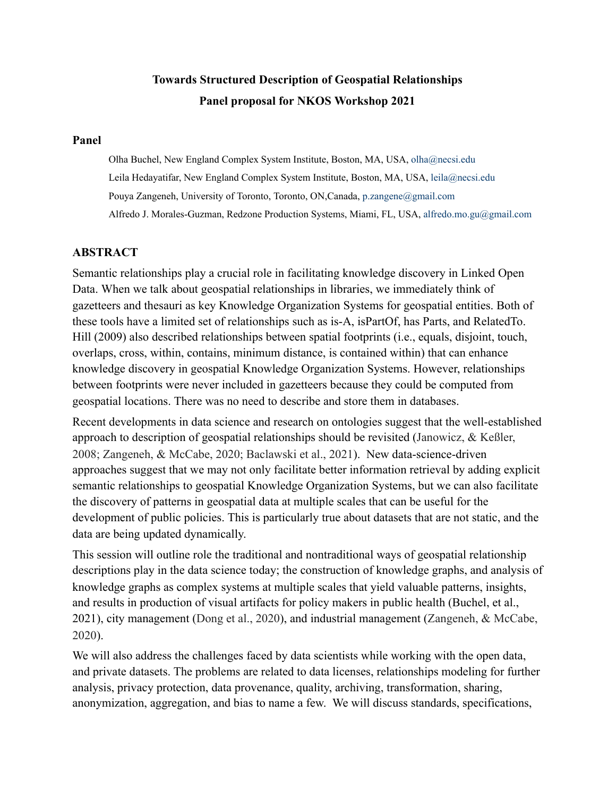# **Towards Structured Description of Geospatial Relationships Panel proposal for NKOS Workshop 2021**

#### **Panel**

Olha Buchel, New England Complex System Institute, Boston, MA, USA, olha@necsi.edu Leila Hedayatifar, New England Complex System Institute, Boston, MA, USA, leila@necsi.edu Pouya Zangeneh, University of Toronto, Toronto, ON,Canada, p.zangene@gmail.com Alfredo J. Morales-Guzman, Redzone Production Systems, Miami, FL, USA, alfredo.mo.gu@gmail.com

### **ABSTRACT**

Semantic relationships play a crucial role in facilitating knowledge discovery in Linked Open Data. When we talk about geospatial relationships in libraries, we immediately think of gazetteers and thesauri as key Knowledge Organization Systems for geospatial entities. Both of these tools have a limited set of relationships such as is-A, isPartOf, has Parts, and RelatedTo. Hill (2009) also described relationships between spatial footprints (i.e., equals, disjoint, touch, overlaps, cross, within, contains, minimum distance, is contained within) that can enhance knowledge discovery in geospatial Knowledge Organization Systems. However, relationships between footprints were never included in gazetteers because they could be computed from geospatial locations. There was no need to describe and store them in databases.

Recent developments in data science and research on ontologies suggest that the well-established approach to description of geospatial relationships should be revisited (Janowicz, & Keßler, 2008; Zangeneh, & McCabe, 2020; Baclawski et al., 2021). New data-science-driven approaches suggest that we may not only facilitate better information retrieval by adding explicit semantic relationships to geospatial Knowledge Organization Systems, but we can also facilitate the discovery of patterns in geospatial data at multiple scales that can be useful for the development of public policies. This is particularly true about datasets that are not static, and the data are being updated dynamically.

This session will outline role the traditional and nontraditional ways of geospatial relationship descriptions play in the data science today; the construction of knowledge graphs, and analysis of knowledge graphs as complex systems at multiple scales that yield valuable patterns, insights, and results in production of visual artifacts for policy makers in public health (Buchel, et al., 2021), city management (Dong et al., 2020), and industrial management (Zangeneh, & McCabe, 2020).

We will also address the challenges faced by data scientists while working with the open data, and private datasets. The problems are related to data licenses, relationships modeling for further analysis, privacy protection, data provenance, quality, archiving, transformation, sharing, anonymization, aggregation, and bias to name a few. We will discuss standards, specifications,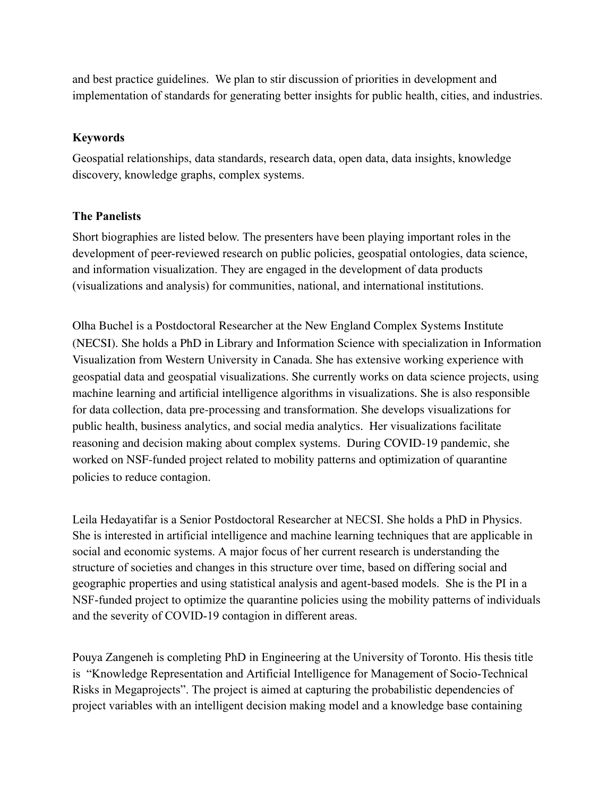and best practice guidelines. We plan to stir discussion of priorities in development and implementation of standards for generating better insights for public health, cities, and industries.

## **Keywords**

Geospatial relationships, data standards, research data, open data, data insights, knowledge discovery, knowledge graphs, complex systems.

## **The Panelists**

Short biographies are listed below. The presenters have been playing important roles in the development of peer-reviewed research on public policies, geospatial ontologies, data science, and information visualization. They are engaged in the development of data products (visualizations and analysis) for communities, national, and international institutions.

Olha Buchel is a Postdoctoral Researcher at the New England Complex Systems Institute (NECSI). She holds a PhD in Library and Information Science with specialization in Information Visualization from Western University in Canada. She has extensive working experience with geospatial data and geospatial visualizations. She currently works on data science projects, using machine learning and artificial intelligence algorithms in visualizations. She is also responsible for data collection, data pre-processing and transformation. She develops visualizations for public health, business analytics, and social media analytics. Her visualizations facilitate reasoning and decision making about complex systems. During COVID-19 pandemic, she worked on NSF-funded project related to mobility patterns and optimization of quarantine policies to reduce contagion.

Leila Hedayatifar is a Senior Postdoctoral Researcher at NECSI. She holds a PhD in Physics. She is interested in artificial intelligence and machine learning techniques that are applicable in social and economic systems. A major focus of her current research is understanding the structure of societies and changes in this structure over time, based on differing social and geographic properties and using statistical analysis and agent-based models. She is the PI in a NSF-funded project to optimize the quarantine policies using the mobility patterns of individuals and the severity of COVID-19 contagion in different areas.

Pouya Zangeneh is completing PhD in Engineering at the University of Toronto. His thesis title is "Knowledge Representation and Artificial Intelligence for Management of Socio-Technical Risks in Megaprojects". The project is aimed at capturing the probabilistic dependencies of project variables with an intelligent decision making model and a knowledge base containing